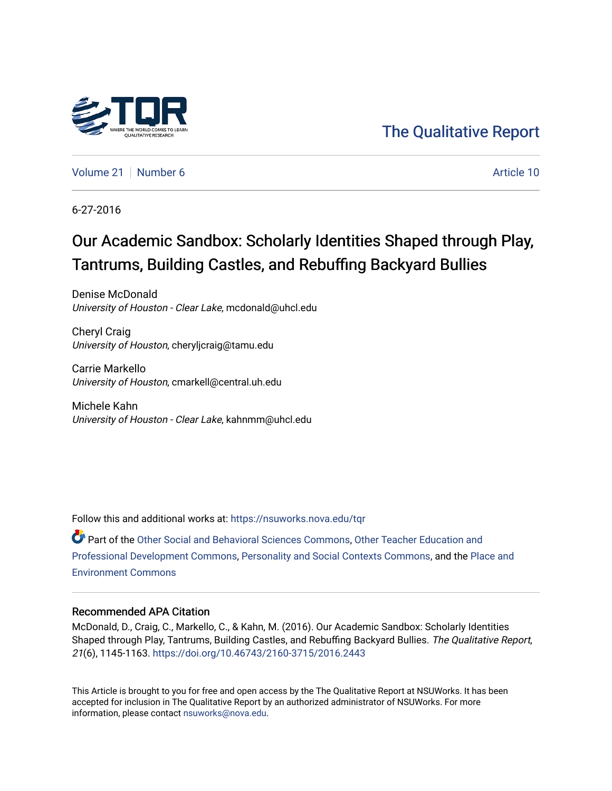

## [The Qualitative Report](https://nsuworks.nova.edu/tqr)

[Volume 21](https://nsuworks.nova.edu/tqr/vol21) [Number 6](https://nsuworks.nova.edu/tqr/vol21/iss6) Article 10

6-27-2016

# Our Academic Sandbox: Scholarly Identities Shaped through Play, Tantrums, Building Castles, and Rebuffing Backyard Bullies

Denise McDonald University of Houston - Clear Lake, mcdonald@uhcl.edu

Cheryl Craig University of Houston, cheryljcraig@tamu.edu

Carrie Markello University of Houston, cmarkell@central.uh.edu

Michele Kahn University of Houston - Clear Lake, kahnmm@uhcl.edu

Follow this and additional works at: [https://nsuworks.nova.edu/tqr](https://nsuworks.nova.edu/tqr?utm_source=nsuworks.nova.edu%2Ftqr%2Fvol21%2Fiss6%2F10&utm_medium=PDF&utm_campaign=PDFCoverPages) 

Part of the [Other Social and Behavioral Sciences Commons](http://network.bepress.com/hgg/discipline/437?utm_source=nsuworks.nova.edu%2Ftqr%2Fvol21%2Fiss6%2F10&utm_medium=PDF&utm_campaign=PDFCoverPages), [Other Teacher Education and](http://network.bepress.com/hgg/discipline/810?utm_source=nsuworks.nova.edu%2Ftqr%2Fvol21%2Fiss6%2F10&utm_medium=PDF&utm_campaign=PDFCoverPages) [Professional Development Commons](http://network.bepress.com/hgg/discipline/810?utm_source=nsuworks.nova.edu%2Ftqr%2Fvol21%2Fiss6%2F10&utm_medium=PDF&utm_campaign=PDFCoverPages), [Personality and Social Contexts Commons,](http://network.bepress.com/hgg/discipline/413?utm_source=nsuworks.nova.edu%2Ftqr%2Fvol21%2Fiss6%2F10&utm_medium=PDF&utm_campaign=PDFCoverPages) and the [Place and](http://network.bepress.com/hgg/discipline/424?utm_source=nsuworks.nova.edu%2Ftqr%2Fvol21%2Fiss6%2F10&utm_medium=PDF&utm_campaign=PDFCoverPages)  [Environment Commons](http://network.bepress.com/hgg/discipline/424?utm_source=nsuworks.nova.edu%2Ftqr%2Fvol21%2Fiss6%2F10&utm_medium=PDF&utm_campaign=PDFCoverPages)

#### Recommended APA Citation

McDonald, D., Craig, C., Markello, C., & Kahn, M. (2016). Our Academic Sandbox: Scholarly Identities Shaped through Play, Tantrums, Building Castles, and Rebuffing Backyard Bullies. The Qualitative Report, 21(6), 1145-1163. <https://doi.org/10.46743/2160-3715/2016.2443>

This Article is brought to you for free and open access by the The Qualitative Report at NSUWorks. It has been accepted for inclusion in The Qualitative Report by an authorized administrator of NSUWorks. For more information, please contact [nsuworks@nova.edu.](mailto:nsuworks@nova.edu)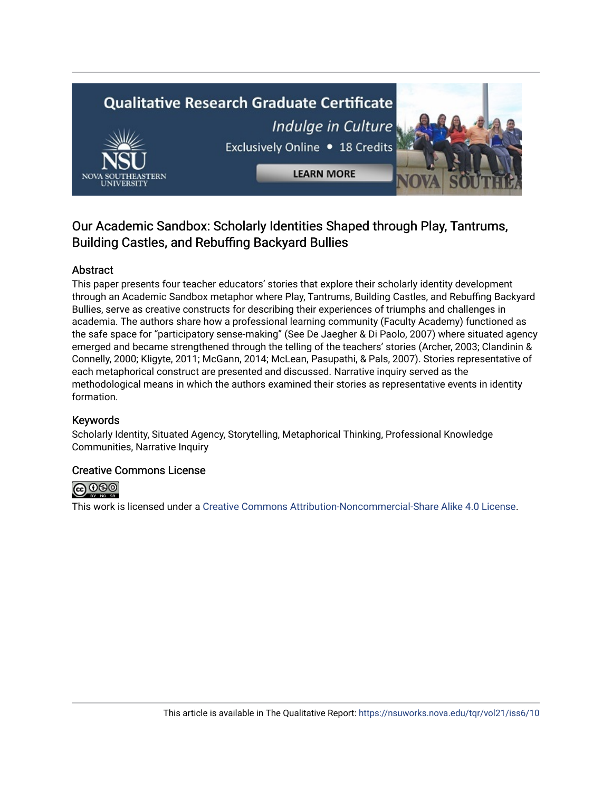# **Qualitative Research Graduate Certificate** Indulge in Culture Exclusively Online . 18 Credits **LEARN MORE**

### Our Academic Sandbox: Scholarly Identities Shaped through Play, Tantrums, Building Castles, and Rebuffing Backyard Bullies

#### Abstract

This paper presents four teacher educators' stories that explore their scholarly identity development through an Academic Sandbox metaphor where Play, Tantrums, Building Castles, and Rebuffing Backyard Bullies, serve as creative constructs for describing their experiences of triumphs and challenges in academia. The authors share how a professional learning community (Faculty Academy) functioned as the safe space for "participatory sense-making" (See De Jaegher & Di Paolo, 2007) where situated agency emerged and became strengthened through the telling of the teachers' stories (Archer, 2003; Clandinin & Connelly, 2000; Kligyte, 2011; McGann, 2014; McLean, Pasupathi, & Pals, 2007). Stories representative of each metaphorical construct are presented and discussed. Narrative inquiry served as the methodological means in which the authors examined their stories as representative events in identity formation.

#### Keywords

Scholarly Identity, Situated Agency, Storytelling, Metaphorical Thinking, Professional Knowledge Communities, Narrative Inquiry

#### Creative Commons License



This work is licensed under a [Creative Commons Attribution-Noncommercial-Share Alike 4.0 License](https://creativecommons.org/licenses/by-nc-sa/4.0/).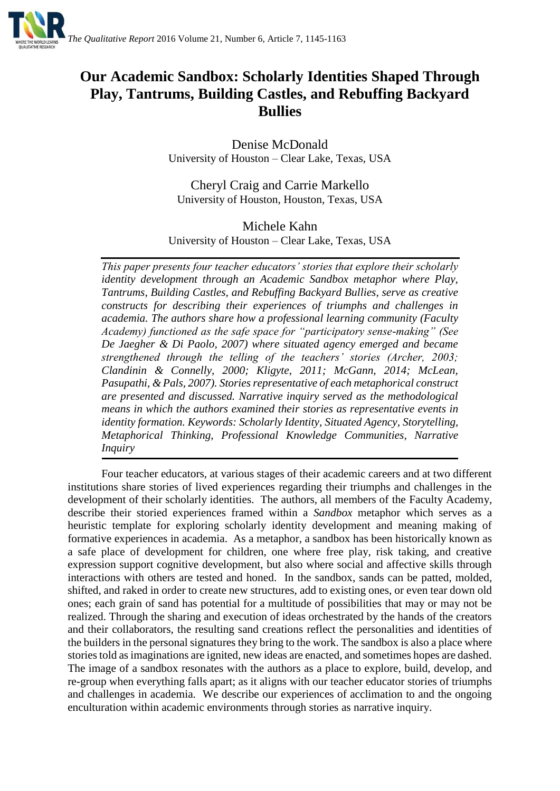

## **Our Academic Sandbox: Scholarly Identities Shaped Through Play, Tantrums, Building Castles, and Rebuffing Backyard Bullies**

Denise McDonald University of Houston – Clear Lake, Texas, USA

Cheryl Craig and Carrie Markello University of Houston, Houston, Texas, USA

#### Michele Kahn University of Houston – Clear Lake, Texas, USA

*This paper presents four teacher educators' stories that explore their scholarly identity development through an Academic Sandbox metaphor where Play, Tantrums, Building Castles, and Rebuffing Backyard Bullies, serve as creative constructs for describing their experiences of triumphs and challenges in academia. The authors share how a professional learning community (Faculty Academy) functioned as the safe space for "participatory sense-making" (See De Jaegher & Di Paolo, 2007) where situated agency emerged and became strengthened through the telling of the teachers' stories (Archer, 2003; Clandinin & Connelly, 2000; Kligyte, 2011; McGann, 2014; McLean, Pasupathi, & Pals, 2007). Stories representative of each metaphorical construct are presented and discussed. Narrative inquiry served as the methodological means in which the authors examined their stories as representative events in identity formation. Keywords: Scholarly Identity, Situated Agency, Storytelling, Metaphorical Thinking, Professional Knowledge Communities, Narrative Inquiry*

Four teacher educators, at various stages of their academic careers and at two different institutions share stories of lived experiences regarding their triumphs and challenges in the development of their scholarly identities. The authors, all members of the Faculty Academy, describe their storied experiences framed within a *Sandbox* metaphor which serves as a heuristic template for exploring scholarly identity development and meaning making of formative experiences in academia. As a metaphor, a sandbox has been historically known as a safe place of development for children, one where free play, risk taking, and creative expression support cognitive development, but also where social and affective skills through interactions with others are tested and honed. In the sandbox, sands can be patted, molded, shifted, and raked in order to create new structures, add to existing ones, or even tear down old ones; each grain of sand has potential for a multitude of possibilities that may or may not be realized. Through the sharing and execution of ideas orchestrated by the hands of the creators and their collaborators, the resulting sand creations reflect the personalities and identities of the builders in the personal signatures they bring to the work. The sandbox is also a place where stories told as imaginations are ignited, new ideas are enacted, and sometimes hopes are dashed. The image of a sandbox resonates with the authors as a place to explore, build, develop, and re-group when everything falls apart; as it aligns with our teacher educator stories of triumphs and challenges in academia. We describe our experiences of acclimation to and the ongoing enculturation within academic environments through stories as narrative inquiry.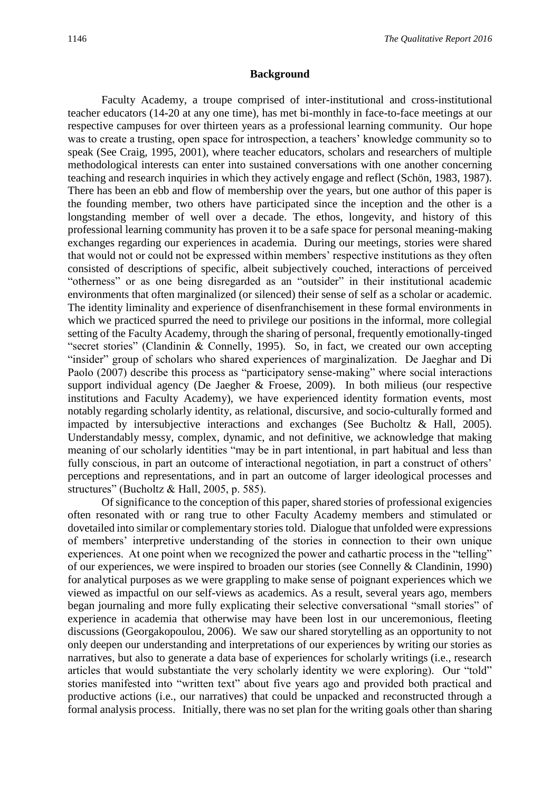#### **Background**

Faculty Academy, a troupe comprised of inter-institutional and cross-institutional teacher educators (14-20 at any one time), has met bi-monthly in face-to-face meetings at our respective campuses for over thirteen years as a professional learning community. Our hope was to create a trusting, open space for introspection, a teachers' knowledge community so to speak (See Craig, 1995, 2001), where teacher educators, scholars and researchers of multiple methodological interests can enter into sustained conversations with one another concerning teaching and research inquiries in which they actively engage and reflect (Schön, 1983, 1987). There has been an ebb and flow of membership over the years, but one author of this paper is the founding member, two others have participated since the inception and the other is a longstanding member of well over a decade. The ethos, longevity, and history of this professional learning community has proven it to be a safe space for personal meaning-making exchanges regarding our experiences in academia. During our meetings, stories were shared that would not or could not be expressed within members' respective institutions as they often consisted of descriptions of specific, albeit subjectively couched, interactions of perceived "otherness" or as one being disregarded as an "outsider" in their institutional academic environments that often marginalized (or silenced) their sense of self as a scholar or academic. The identity liminality and experience of disenfranchisement in these formal environments in which we practiced spurred the need to privilege our positions in the informal, more collegial setting of the Faculty Academy, through the sharing of personal, frequently emotionally-tinged "secret stories" (Clandinin & Connelly, 1995). So, in fact, we created our own accepting "insider" group of scholars who shared experiences of marginalization. De Jaeghar and Di Paolo (2007) describe this process as "participatory sense-making" where social interactions support individual agency (De Jaegher & Froese, 2009). In both milieus (our respective institutions and Faculty Academy), we have experienced identity formation events, most notably regarding scholarly identity, as relational, discursive, and socio-culturally formed and impacted by intersubjective interactions and exchanges (See Bucholtz & Hall, 2005). Understandably messy, complex, dynamic, and not definitive, we acknowledge that making meaning of our scholarly identities "may be in part intentional, in part habitual and less than fully conscious, in part an outcome of interactional negotiation, in part a construct of others' perceptions and representations, and in part an outcome of larger ideological processes and structures" (Bucholtz & Hall, 2005, p. 585).

Of significance to the conception of this paper, shared stories of professional exigencies often resonated with or rang true to other Faculty Academy members and stimulated or dovetailed into similar or complementary stories told. Dialogue that unfolded were expressions of members' interpretive understanding of the stories in connection to their own unique experiences. At one point when we recognized the power and cathartic process in the "telling" of our experiences, we were inspired to broaden our stories (see Connelly & Clandinin, 1990) for analytical purposes as we were grappling to make sense of poignant experiences which we viewed as impactful on our self-views as academics. As a result, several years ago, members began journaling and more fully explicating their selective conversational "small stories" of experience in academia that otherwise may have been lost in our unceremonious, fleeting discussions (Georgakopoulou, 2006). We saw our shared storytelling as an opportunity to not only deepen our understanding and interpretations of our experiences by writing our stories as narratives, but also to generate a data base of experiences for scholarly writings (i.e., research articles that would substantiate the very scholarly identity we were exploring). Our "told" stories manifested into "written text" about five years ago and provided both practical and productive actions (i.e., our narratives) that could be unpacked and reconstructed through a formal analysis process. Initially, there was no set plan for the writing goals other than sharing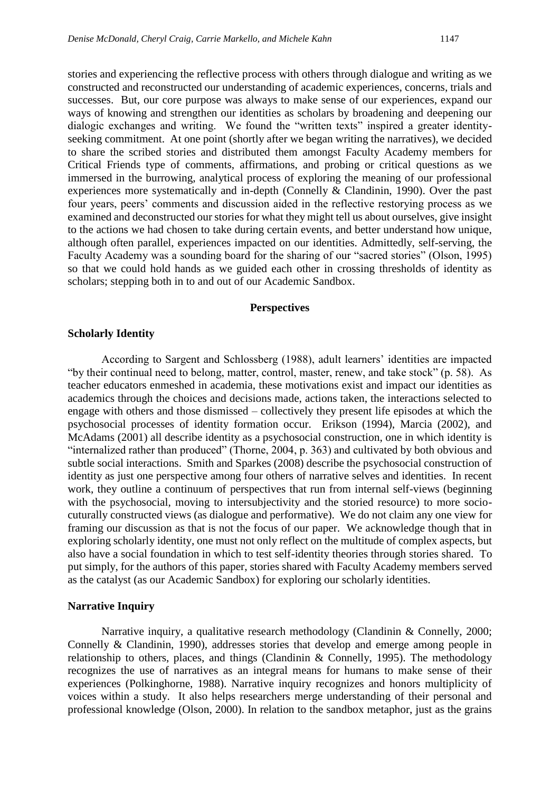stories and experiencing the reflective process with others through dialogue and writing as we constructed and reconstructed our understanding of academic experiences, concerns, trials and successes. But, our core purpose was always to make sense of our experiences, expand our ways of knowing and strengthen our identities as scholars by broadening and deepening our dialogic exchanges and writing. We found the "written texts" inspired a greater identityseeking commitment. At one point (shortly after we began writing the narratives), we decided to share the scribed stories and distributed them amongst Faculty Academy members for Critical Friends type of comments, affirmations, and probing or critical questions as we immersed in the burrowing, analytical process of exploring the meaning of our professional experiences more systematically and in-depth (Connelly & Clandinin, 1990). Over the past four years, peers' comments and discussion aided in the reflective restorying process as we examined and deconstructed our stories for what they might tell us about ourselves, give insight to the actions we had chosen to take during certain events, and better understand how unique, although often parallel, experiences impacted on our identities. Admittedly, self-serving, the Faculty Academy was a sounding board for the sharing of our "sacred stories" (Olson, 1995) so that we could hold hands as we guided each other in crossing thresholds of identity as scholars; stepping both in to and out of our Academic Sandbox.

#### **Perspectives**

#### **Scholarly Identity**

According to Sargent and Schlossberg (1988), adult learners' identities are impacted "by their continual need to belong, matter, control, master, renew, and take stock" (p. 58). As teacher educators enmeshed in academia, these motivations exist and impact our identities as academics through the choices and decisions made, actions taken, the interactions selected to engage with others and those dismissed – collectively they present life episodes at which the psychosocial processes of identity formation occur. Erikson (1994), Marcia (2002), and McAdams (2001) all describe identity as a psychosocial construction, one in which identity is "internalized rather than produced" (Thorne, 2004, p. 363) and cultivated by both obvious and subtle social interactions. Smith and Sparkes (2008) describe the psychosocial construction of identity as just one perspective among four others of narrative selves and identities. In recent work, they outline a continuum of perspectives that run from internal self-views (beginning with the psychosocial, moving to intersubjectivity and the storied resource) to more sociocuturally constructed views (as dialogue and performative). We do not claim any one view for framing our discussion as that is not the focus of our paper. We acknowledge though that in exploring scholarly identity, one must not only reflect on the multitude of complex aspects, but also have a social foundation in which to test self-identity theories through stories shared. To put simply, for the authors of this paper, stories shared with Faculty Academy members served as the catalyst (as our Academic Sandbox) for exploring our scholarly identities.

#### **Narrative Inquiry**

Narrative inquiry, a qualitative research methodology (Clandinin & Connelly, 2000; Connelly & Clandinin, 1990), addresses stories that develop and emerge among people in relationship to others, places, and things (Clandinin & Connelly, 1995). The methodology recognizes the use of narratives as an integral means for humans to make sense of their experiences (Polkinghorne, 1988). Narrative inquiry recognizes and honors multiplicity of voices within a study. It also helps researchers merge understanding of their personal and professional knowledge (Olson, 2000). In relation to the sandbox metaphor, just as the grains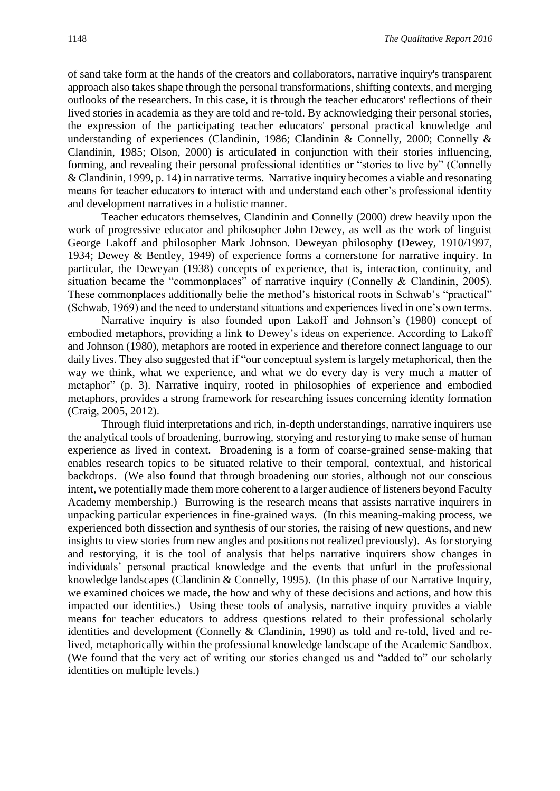of sand take form at the hands of the creators and collaborators, narrative inquiry's transparent approach also takes shape through the personal transformations, shifting contexts, and merging outlooks of the researchers. In this case, it is through the teacher educators' reflections of their lived stories in academia as they are told and re-told. By acknowledging their personal stories, the expression of the participating teacher educators' personal practical knowledge and understanding of experiences (Clandinin, 1986; Clandinin & Connelly, 2000; Connelly & Clandinin, 1985; Olson, 2000) is articulated in conjunction with their stories influencing, forming, and revealing their personal professional identities or "stories to live by" (Connelly & Clandinin, 1999, p. 14) in narrative terms. Narrative inquiry becomes a viable and resonating means for teacher educators to interact with and understand each other's professional identity and development narratives in a holistic manner.

Teacher educators themselves, Clandinin and Connelly (2000) drew heavily upon the work of progressive educator and philosopher John Dewey, as well as the work of linguist George Lakoff and philosopher Mark Johnson. Deweyan philosophy (Dewey, 1910/1997, 1934; Dewey & Bentley, 1949) of experience forms a cornerstone for narrative inquiry. In particular, the Deweyan (1938) concepts of experience, that is, interaction, continuity, and situation became the "commonplaces" of narrative inquiry (Connelly & Clandinin, 2005). These commonplaces additionally belie the method's historical roots in Schwab's "practical" (Schwab, 1969) and the need to understand situations and experiences lived in one's own terms.

Narrative inquiry is also founded upon Lakoff and Johnson's (1980) concept of embodied metaphors, providing a link to Dewey's ideas on experience. According to Lakoff and Johnson (1980), metaphors are rooted in experience and therefore connect language to our daily lives. They also suggested that if "our conceptual system is largely metaphorical, then the way we think, what we experience, and what we do every day is very much a matter of metaphor" (p. 3). Narrative inquiry, rooted in philosophies of experience and embodied metaphors, provides a strong framework for researching issues concerning identity formation (Craig, 2005, 2012).

Through fluid interpretations and rich, in-depth understandings, narrative inquirers use the analytical tools of broadening, burrowing, storying and restorying to make sense of human experience as lived in context. Broadening is a form of coarse-grained sense-making that enables research topics to be situated relative to their temporal, contextual, and historical backdrops. (We also found that through broadening our stories, although not our conscious intent, we potentially made them more coherent to a larger audience of listeners beyond Faculty Academy membership.) Burrowing is the research means that assists narrative inquirers in unpacking particular experiences in fine-grained ways. (In this meaning-making process, we experienced both dissection and synthesis of our stories, the raising of new questions, and new insights to view stories from new angles and positions not realized previously). As for storying and restorying, it is the tool of analysis that helps narrative inquirers show changes in individuals' personal practical knowledge and the events that unfurl in the professional knowledge landscapes (Clandinin & Connelly, 1995). (In this phase of our Narrative Inquiry, we examined choices we made, the how and why of these decisions and actions, and how this impacted our identities.) Using these tools of analysis, narrative inquiry provides a viable means for teacher educators to address questions related to their professional scholarly identities and development (Connelly & Clandinin, 1990) as told and re-told, lived and relived, metaphorically within the professional knowledge landscape of the Academic Sandbox. (We found that the very act of writing our stories changed us and "added to" our scholarly identities on multiple levels.)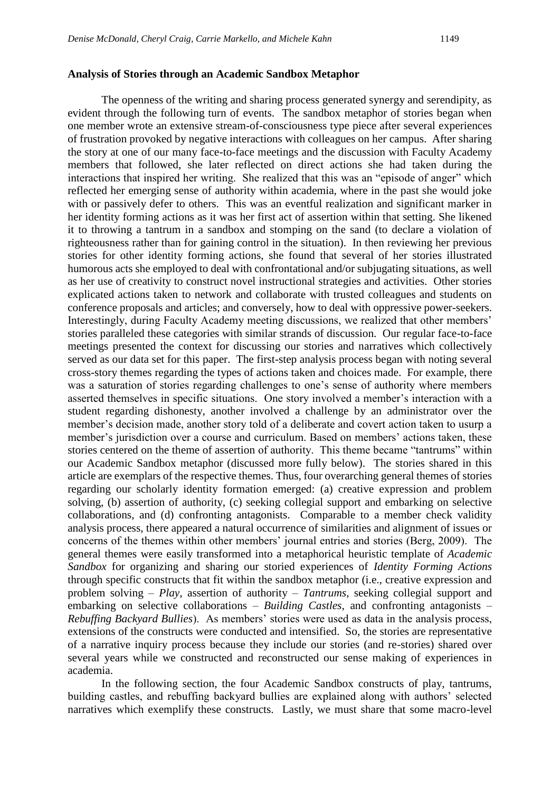#### **Analysis of Stories through an Academic Sandbox Metaphor**

The openness of the writing and sharing process generated synergy and serendipity, as evident through the following turn of events. The sandbox metaphor of stories began when one member wrote an extensive stream-of-consciousness type piece after several experiences of frustration provoked by negative interactions with colleagues on her campus. After sharing the story at one of our many face-to-face meetings and the discussion with Faculty Academy members that followed, she later reflected on direct actions she had taken during the interactions that inspired her writing. She realized that this was an "episode of anger" which reflected her emerging sense of authority within academia, where in the past she would joke with or passively defer to others. This was an eventful realization and significant marker in her identity forming actions as it was her first act of assertion within that setting. She likened it to throwing a tantrum in a sandbox and stomping on the sand (to declare a violation of righteousness rather than for gaining control in the situation). In then reviewing her previous stories for other identity forming actions, she found that several of her stories illustrated humorous acts she employed to deal with confrontational and/or subjugating situations, as well as her use of creativity to construct novel instructional strategies and activities. Other stories explicated actions taken to network and collaborate with trusted colleagues and students on conference proposals and articles; and conversely, how to deal with oppressive power-seekers. Interestingly, during Faculty Academy meeting discussions, we realized that other members' stories paralleled these categories with similar strands of discussion. Our regular face-to-face meetings presented the context for discussing our stories and narratives which collectively served as our data set for this paper. The first-step analysis process began with noting several cross-story themes regarding the types of actions taken and choices made. For example, there was a saturation of stories regarding challenges to one's sense of authority where members asserted themselves in specific situations. One story involved a member's interaction with a student regarding dishonesty, another involved a challenge by an administrator over the member's decision made, another story told of a deliberate and covert action taken to usurp a member's jurisdiction over a course and curriculum. Based on members' actions taken, these stories centered on the theme of assertion of authority. This theme became "tantrums" within our Academic Sandbox metaphor (discussed more fully below). The stories shared in this article are exemplars of the respective themes. Thus, four overarching general themes of stories regarding our scholarly identity formation emerged: (a) creative expression and problem solving, (b) assertion of authority, (c) seeking collegial support and embarking on selective collaborations, and (d) confronting antagonists. Comparable to a member check validity analysis process, there appeared a natural occurrence of similarities and alignment of issues or concerns of the themes within other members' journal entries and stories (Berg, 2009). The general themes were easily transformed into a metaphorical heuristic template of *Academic Sandbox* for organizing and sharing our storied experiences of *Identity Forming Actions* through specific constructs that fit within the sandbox metaphor (i.e., creative expression and problem solving – *Play*, assertion of authority – *Tantrums*, seeking collegial support and embarking on selective collaborations – *Building Castles*, and confronting antagonists – *Rebuffing Backyard Bullies*). As members' stories were used as data in the analysis process, extensions of the constructs were conducted and intensified. So, the stories are representative of a narrative inquiry process because they include our stories (and re-stories) shared over several years while we constructed and reconstructed our sense making of experiences in academia.

In the following section, the four Academic Sandbox constructs of play, tantrums, building castles, and rebuffing backyard bullies are explained along with authors' selected narratives which exemplify these constructs. Lastly, we must share that some macro-level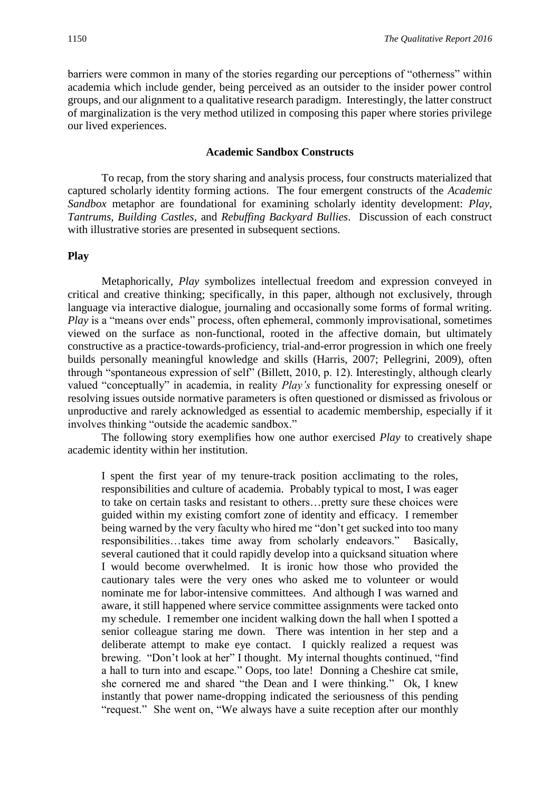barriers were common in many of the stories regarding our perceptions of "otherness" within academia which include gender, being perceived as an outsider to the insider power control groups, and our alignment to a qualitative research paradigm. Interestingly, the latter construct of marginalization is the very method utilized in composing this paper where stories privilege our lived experiences.

#### **Academic Sandbox Constructs**

To recap, from the story sharing and analysis process, four constructs materialized that captured scholarly identity forming actions. The four emergent constructs of the *Academic Sandbox* metaphor are foundational for examining scholarly identity development: *Play*, *Tantrums*, *Building Castles*, and *Rebuffing Backyard Bullies*. Discussion of each construct with illustrative stories are presented in subsequent sections.

#### **Play**

Metaphorically, *Play* symbolizes intellectual freedom and expression conveyed in critical and creative thinking; specifically, in this paper, although not exclusively, through language via interactive dialogue, journaling and occasionally some forms of formal writing. *Play* is a "means over ends" process, often ephemeral, commonly improvisational, sometimes viewed on the surface as non-functional, rooted in the affective domain, but ultimately constructive as a practice-towards-proficiency, trial-and-error progression in which one freely builds personally meaningful knowledge and skills (Harris, 2007; Pellegrini, 2009), often through "spontaneous expression of self" (Billett, 2010, p. 12). Interestingly, although clearly valued "conceptually" in academia, in reality *Play's* functionality for expressing oneself or resolving issues outside normative parameters is often questioned or dismissed as frivolous or unproductive and rarely acknowledged as essential to academic membership, especially if it involves thinking "outside the academic sandbox."

The following story exemplifies how one author exercised *Play* to creatively shape academic identity within her institution.

I spent the first year of my tenure-track position acclimating to the roles, responsibilities and culture of academia. Probably typical to most, I was eager to take on certain tasks and resistant to others…pretty sure these choices were guided within my existing comfort zone of identity and efficacy. I remember being warned by the very faculty who hired me "don't get sucked into too many responsibilities…takes time away from scholarly endeavors." Basically, several cautioned that it could rapidly develop into a quicksand situation where I would become overwhelmed. It is ironic how those who provided the cautionary tales were the very ones who asked me to volunteer or would nominate me for labor-intensive committees. And although I was warned and aware, it still happened where service committee assignments were tacked onto my schedule. I remember one incident walking down the hall when I spotted a senior colleague staring me down. There was intention in her step and a deliberate attempt to make eye contact. I quickly realized a request was brewing. "Don't look at her" I thought. My internal thoughts continued, "find a hall to turn into and escape." Oops, too late! Donning a Cheshire cat smile, she cornered me and shared "the Dean and I were thinking." Ok, I knew instantly that power name-dropping indicated the seriousness of this pending "request." She went on, "We always have a suite reception after our monthly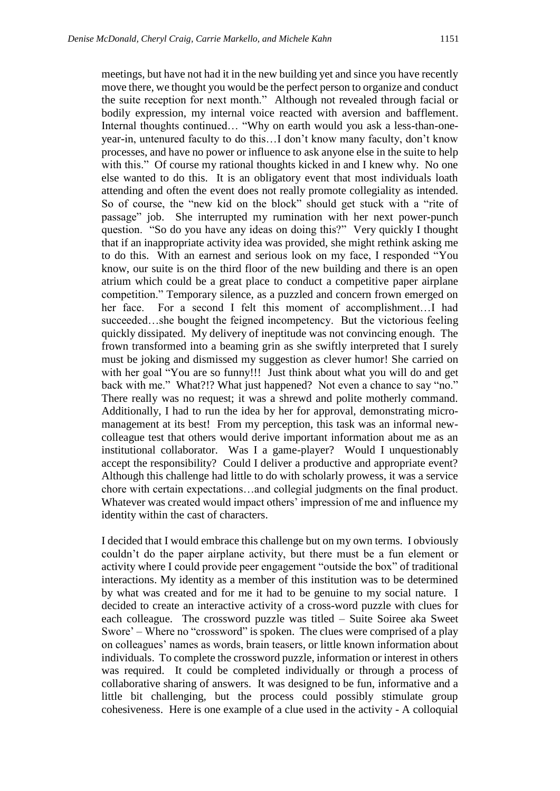meetings, but have not had it in the new building yet and since you have recently move there, we thought you would be the perfect person to organize and conduct the suite reception for next month." Although not revealed through facial or bodily expression, my internal voice reacted with aversion and bafflement. Internal thoughts continued… "Why on earth would you ask a less-than-oneyear-in, untenured faculty to do this…I don't know many faculty, don't know processes, and have no power or influence to ask anyone else in the suite to help with this." Of course my rational thoughts kicked in and I knew why. No one else wanted to do this. It is an obligatory event that most individuals loath attending and often the event does not really promote collegiality as intended. So of course, the "new kid on the block" should get stuck with a "rite of passage" job. She interrupted my rumination with her next power-punch question. "So do you have any ideas on doing this?" Very quickly I thought that if an inappropriate activity idea was provided, she might rethink asking me to do this. With an earnest and serious look on my face, I responded "You know, our suite is on the third floor of the new building and there is an open atrium which could be a great place to conduct a competitive paper airplane competition." Temporary silence, as a puzzled and concern frown emerged on her face. For a second I felt this moment of accomplishment…I had succeeded…she bought the feigned incompetency. But the victorious feeling quickly dissipated. My delivery of ineptitude was not convincing enough. The frown transformed into a beaming grin as she swiftly interpreted that I surely must be joking and dismissed my suggestion as clever humor! She carried on with her goal "You are so funny!!! Just think about what you will do and get back with me." What?!? What just happened? Not even a chance to say "no." There really was no request; it was a shrewd and polite motherly command. Additionally, I had to run the idea by her for approval, demonstrating micromanagement at its best! From my perception, this task was an informal newcolleague test that others would derive important information about me as an institutional collaborator. Was I a game-player? Would I unquestionably accept the responsibility? Could I deliver a productive and appropriate event? Although this challenge had little to do with scholarly prowess, it was a service chore with certain expectations…and collegial judgments on the final product. Whatever was created would impact others' impression of me and influence my identity within the cast of characters.

I decided that I would embrace this challenge but on my own terms. I obviously couldn't do the paper airplane activity, but there must be a fun element or activity where I could provide peer engagement "outside the box" of traditional interactions. My identity as a member of this institution was to be determined by what was created and for me it had to be genuine to my social nature. I decided to create an interactive activity of a cross-word puzzle with clues for each colleague. The crossword puzzle was titled – Suite Soiree aka Sweet Swore' – Where no "crossword" is spoken. The clues were comprised of a play on colleagues' names as words, brain teasers, or little known information about individuals. To complete the crossword puzzle, information or interest in others was required. It could be completed individually or through a process of collaborative sharing of answers. It was designed to be fun, informative and a little bit challenging, but the process could possibly stimulate group cohesiveness. Here is one example of a clue used in the activity - A colloquial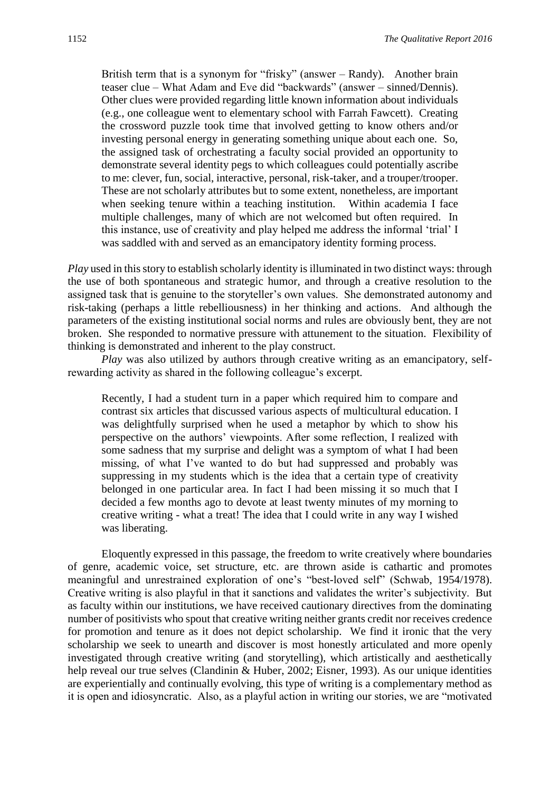British term that is a synonym for "frisky" (answer – Randy). Another brain teaser clue – What Adam and Eve did "backwards" (answer – sinned/Dennis). Other clues were provided regarding little known information about individuals (e.g., one colleague went to elementary school with Farrah Fawcett). Creating the crossword puzzle took time that involved getting to know others and/or investing personal energy in generating something unique about each one. So, the assigned task of orchestrating a faculty social provided an opportunity to demonstrate several identity pegs to which colleagues could potentially ascribe to me: clever, fun, social, interactive, personal, risk-taker, and a trouper/trooper. These are not scholarly attributes but to some extent, nonetheless, are important when seeking tenure within a teaching institution. Within academia I face multiple challenges, many of which are not welcomed but often required. In this instance, use of creativity and play helped me address the informal 'trial' I was saddled with and served as an emancipatory identity forming process.

*Play* used in this story to establish scholarly identity is illuminated in two distinct ways: through the use of both spontaneous and strategic humor, and through a creative resolution to the assigned task that is genuine to the storyteller's own values. She demonstrated autonomy and risk-taking (perhaps a little rebelliousness) in her thinking and actions. And although the parameters of the existing institutional social norms and rules are obviously bent, they are not broken. She responded to normative pressure with attunement to the situation. Flexibility of thinking is demonstrated and inherent to the play construct.

*Play* was also utilized by authors through creative writing as an emancipatory, selfrewarding activity as shared in the following colleague's excerpt.

Recently, I had a student turn in a paper which required him to compare and contrast six articles that discussed various aspects of multicultural education. I was delightfully surprised when he used a metaphor by which to show his perspective on the authors' viewpoints. After some reflection, I realized with some sadness that my surprise and delight was a symptom of what I had been missing, of what I've wanted to do but had suppressed and probably was suppressing in my students which is the idea that a certain type of creativity belonged in one particular area. In fact I had been missing it so much that I decided a few months ago to devote at least twenty minutes of my morning to creative writing - what a treat! The idea that I could write in any way I wished was liberating.

Eloquently expressed in this passage, the freedom to write creatively where boundaries of genre, academic voice, set structure, etc. are thrown aside is cathartic and promotes meaningful and unrestrained exploration of one's "best-loved self" (Schwab, 1954/1978). Creative writing is also playful in that it sanctions and validates the writer's subjectivity. But as faculty within our institutions, we have received cautionary directives from the dominating number of positivists who spout that creative writing neither grants credit nor receives credence for promotion and tenure as it does not depict scholarship. We find it ironic that the very scholarship we seek to unearth and discover is most honestly articulated and more openly investigated through creative writing (and storytelling), which artistically and aesthetically help reveal our true selves (Clandinin & Huber, 2002; Eisner, 1993). As our unique identities are experientially and continually evolving, this type of writing is a complementary method as it is open and idiosyncratic. Also, as a playful action in writing our stories, we are "motivated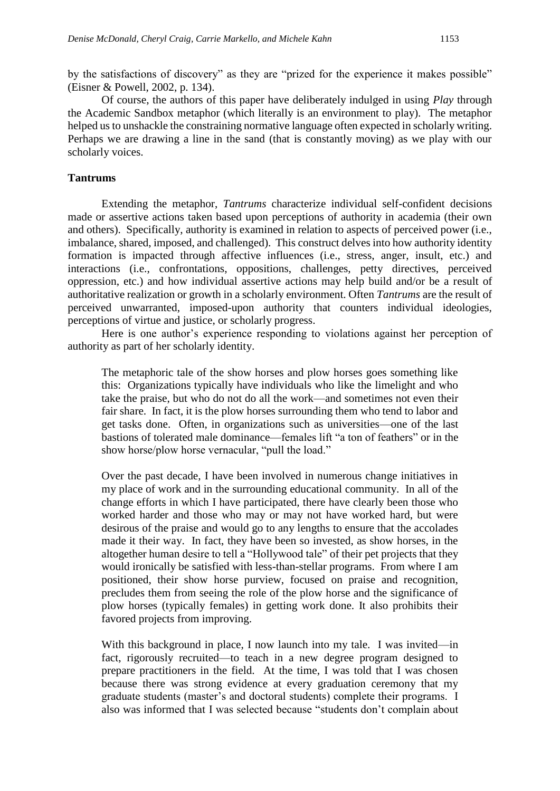by the satisfactions of discovery" as they are "prized for the experience it makes possible" (Eisner & Powell, 2002, p. 134).

Of course, the authors of this paper have deliberately indulged in using *Play* through the Academic Sandbox metaphor (which literally is an environment to play). The metaphor helped us to unshackle the constraining normative language often expected in scholarly writing. Perhaps we are drawing a line in the sand (that is constantly moving) as we play with our scholarly voices.

#### **Tantrums**

Extending the metaphor, *Tantrums* characterize individual self-confident decisions made or assertive actions taken based upon perceptions of authority in academia (their own and others). Specifically, authority is examined in relation to aspects of perceived power (i.e., imbalance, shared, imposed, and challenged). This construct delves into how authority identity formation is impacted through affective influences (i.e., stress, anger, insult, etc.) and interactions (i.e., confrontations, oppositions, challenges, petty directives, perceived oppression, etc.) and how individual assertive actions may help build and/or be a result of authoritative realization or growth in a scholarly environment. Often *Tantrums* are the result of perceived unwarranted, imposed-upon authority that counters individual ideologies, perceptions of virtue and justice, or scholarly progress.

Here is one author's experience responding to violations against her perception of authority as part of her scholarly identity.

The metaphoric tale of the show horses and plow horses goes something like this: Organizations typically have individuals who like the limelight and who take the praise, but who do not do all the work—and sometimes not even their fair share. In fact, it is the plow horses surrounding them who tend to labor and get tasks done. Often, in organizations such as universities—one of the last bastions of tolerated male dominance—females lift "a ton of feathers" or in the show horse/plow horse vernacular, "pull the load."

Over the past decade, I have been involved in numerous change initiatives in my place of work and in the surrounding educational community. In all of the change efforts in which I have participated, there have clearly been those who worked harder and those who may or may not have worked hard, but were desirous of the praise and would go to any lengths to ensure that the accolades made it their way. In fact, they have been so invested, as show horses, in the altogether human desire to tell a "Hollywood tale" of their pet projects that they would ironically be satisfied with less-than-stellar programs. From where I am positioned, their show horse purview, focused on praise and recognition, precludes them from seeing the role of the plow horse and the significance of plow horses (typically females) in getting work done. It also prohibits their favored projects from improving.

With this background in place, I now launch into my tale. I was invited—in fact, rigorously recruited—to teach in a new degree program designed to prepare practitioners in the field. At the time, I was told that I was chosen because there was strong evidence at every graduation ceremony that my graduate students (master's and doctoral students) complete their programs. I also was informed that I was selected because "students don't complain about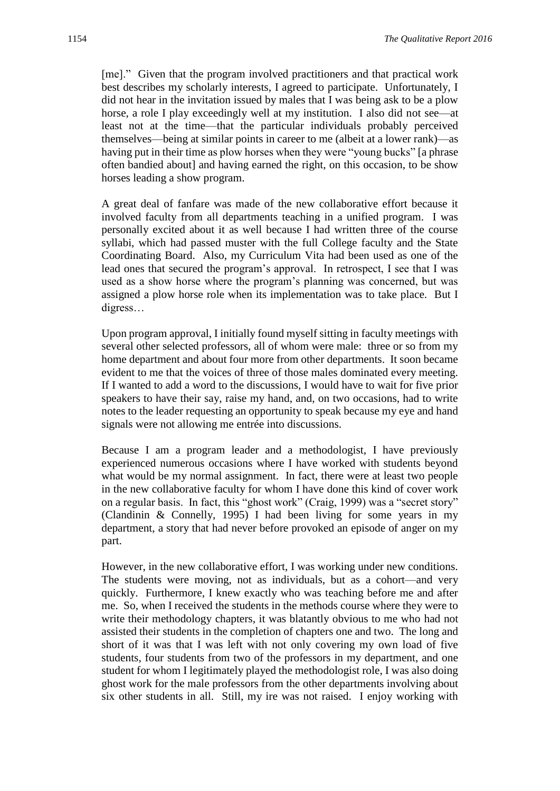[me]." Given that the program involved practitioners and that practical work best describes my scholarly interests, I agreed to participate. Unfortunately, I did not hear in the invitation issued by males that I was being ask to be a plow horse, a role I play exceedingly well at my institution. I also did not see—at least not at the time—that the particular individuals probably perceived themselves—being at similar points in career to me (albeit at a lower rank)—as having put in their time as plow horses when they were "young bucks" [a phrase often bandied about] and having earned the right, on this occasion, to be show horses leading a show program.

A great deal of fanfare was made of the new collaborative effort because it involved faculty from all departments teaching in a unified program. I was personally excited about it as well because I had written three of the course syllabi, which had passed muster with the full College faculty and the State Coordinating Board. Also, my Curriculum Vita had been used as one of the lead ones that secured the program's approval. In retrospect, I see that I was used as a show horse where the program's planning was concerned, but was assigned a plow horse role when its implementation was to take place. But I digress…

Upon program approval, I initially found myself sitting in faculty meetings with several other selected professors, all of whom were male: three or so from my home department and about four more from other departments. It soon became evident to me that the voices of three of those males dominated every meeting. If I wanted to add a word to the discussions, I would have to wait for five prior speakers to have their say, raise my hand, and, on two occasions, had to write notes to the leader requesting an opportunity to speak because my eye and hand signals were not allowing me entrée into discussions.

Because I am a program leader and a methodologist, I have previously experienced numerous occasions where I have worked with students beyond what would be my normal assignment. In fact, there were at least two people in the new collaborative faculty for whom I have done this kind of cover work on a regular basis. In fact, this "ghost work" (Craig, 1999) was a "secret story" (Clandinin & Connelly, 1995) I had been living for some years in my department, a story that had never before provoked an episode of anger on my part.

However, in the new collaborative effort, I was working under new conditions. The students were moving, not as individuals, but as a cohort—and very quickly. Furthermore, I knew exactly who was teaching before me and after me. So, when I received the students in the methods course where they were to write their methodology chapters, it was blatantly obvious to me who had not assisted their students in the completion of chapters one and two. The long and short of it was that I was left with not only covering my own load of five students, four students from two of the professors in my department, and one student for whom I legitimately played the methodologist role, I was also doing ghost work for the male professors from the other departments involving about six other students in all. Still, my ire was not raised. I enjoy working with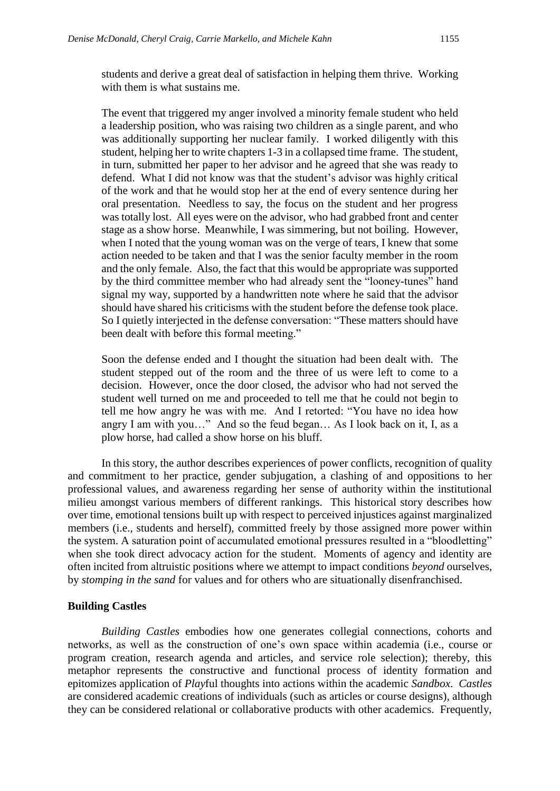students and derive a great deal of satisfaction in helping them thrive. Working with them is what sustains me.

The event that triggered my anger involved a minority female student who held a leadership position, who was raising two children as a single parent, and who was additionally supporting her nuclear family. I worked diligently with this student, helping her to write chapters 1-3 in a collapsed time frame. The student, in turn, submitted her paper to her advisor and he agreed that she was ready to defend. What I did not know was that the student's advisor was highly critical of the work and that he would stop her at the end of every sentence during her oral presentation. Needless to say, the focus on the student and her progress was totally lost. All eyes were on the advisor, who had grabbed front and center stage as a show horse. Meanwhile, I was simmering, but not boiling. However, when I noted that the young woman was on the verge of tears, I knew that some action needed to be taken and that I was the senior faculty member in the room and the only female. Also, the fact that this would be appropriate was supported by the third committee member who had already sent the "looney-tunes" hand signal my way, supported by a handwritten note where he said that the advisor should have shared his criticisms with the student before the defense took place. So I quietly interjected in the defense conversation: "These matters should have been dealt with before this formal meeting."

Soon the defense ended and I thought the situation had been dealt with. The student stepped out of the room and the three of us were left to come to a decision. However, once the door closed, the advisor who had not served the student well turned on me and proceeded to tell me that he could not begin to tell me how angry he was with me. And I retorted: "You have no idea how angry I am with you…" And so the feud began… As I look back on it, I, as a plow horse, had called a show horse on his bluff.

In this story, the author describes experiences of power conflicts, recognition of quality and commitment to her practice, gender subjugation, a clashing of and oppositions to her professional values, and awareness regarding her sense of authority within the institutional milieu amongst various members of different rankings. This historical story describes how over time, emotional tensions built up with respect to perceived injustices against marginalized members (i.e., students and herself), committed freely by those assigned more power within the system. A saturation point of accumulated emotional pressures resulted in a "bloodletting" when she took direct advocacy action for the student. Moments of agency and identity are often incited from altruistic positions where we attempt to impact conditions *beyond* ourselves, by *stomping in the sand* for values and for others who are situationally disenfranchised.

#### **Building Castles**

*Building Castles* embodies how one generates collegial connections, cohorts and networks, as well as the construction of one's own space within academia (i.e., course or program creation, research agenda and articles, and service role selection); thereby, this metaphor represents the constructive and functional process of identity formation and epitomizes application of *Play*ful thoughts into actions within the academic *Sandbox*. *Castles*  are considered academic creations of individuals (such as articles or course designs), although they can be considered relational or collaborative products with other academics. Frequently,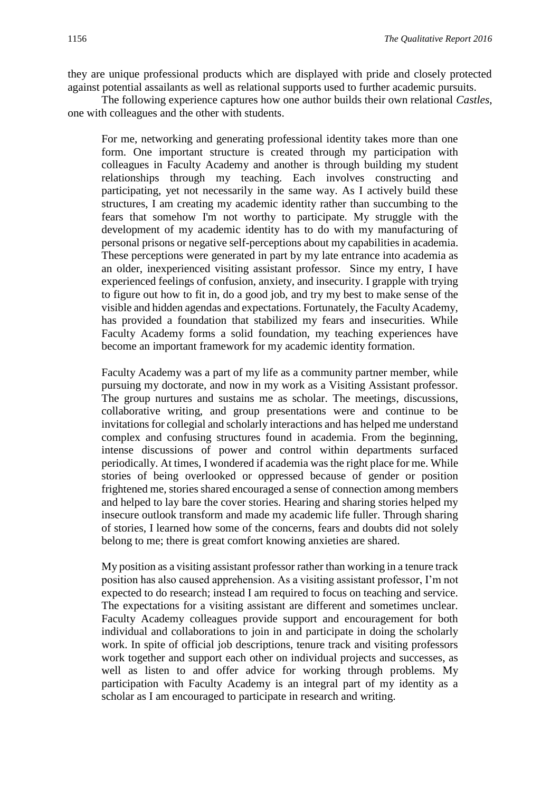they are unique professional products which are displayed with pride and closely protected against potential assailants as well as relational supports used to further academic pursuits.

The following experience captures how one author builds their own relational *Castles*, one with colleagues and the other with students.

For me, networking and generating professional identity takes more than one form. One important structure is created through my participation with colleagues in Faculty Academy and another is through building my student relationships through my teaching. Each involves constructing and participating, yet not necessarily in the same way. As I actively build these structures, I am creating my academic identity rather than succumbing to the fears that somehow I'm not worthy to participate. My struggle with the development of my academic identity has to do with my manufacturing of personal prisons or negative self-perceptions about my capabilities in academia. These perceptions were generated in part by my late entrance into academia as an older, inexperienced visiting assistant professor. Since my entry, I have experienced feelings of confusion, anxiety, and insecurity. I grapple with trying to figure out how to fit in, do a good job, and try my best to make sense of the visible and hidden agendas and expectations. Fortunately, the Faculty Academy, has provided a foundation that stabilized my fears and insecurities. While Faculty Academy forms a solid foundation, my teaching experiences have become an important framework for my academic identity formation.

Faculty Academy was a part of my life as a community partner member, while pursuing my doctorate, and now in my work as a Visiting Assistant professor. The group nurtures and sustains me as scholar. The meetings, discussions, collaborative writing, and group presentations were and continue to be invitations for collegial and scholarly interactions and has helped me understand complex and confusing structures found in academia. From the beginning, intense discussions of power and control within departments surfaced periodically. At times, I wondered if academia was the right place for me. While stories of being overlooked or oppressed because of gender or position frightened me, stories shared encouraged a sense of connection among members and helped to lay bare the cover stories. Hearing and sharing stories helped my insecure outlook transform and made my academic life fuller. Through sharing of stories, I learned how some of the concerns, fears and doubts did not solely belong to me; there is great comfort knowing anxieties are shared.

My position as a visiting assistant professor rather than working in a tenure track position has also caused apprehension. As a visiting assistant professor, I'm not expected to do research; instead I am required to focus on teaching and service. The expectations for a visiting assistant are different and sometimes unclear. Faculty Academy colleagues provide support and encouragement for both individual and collaborations to join in and participate in doing the scholarly work. In spite of official job descriptions, tenure track and visiting professors work together and support each other on individual projects and successes, as well as listen to and offer advice for working through problems. My participation with Faculty Academy is an integral part of my identity as a scholar as I am encouraged to participate in research and writing.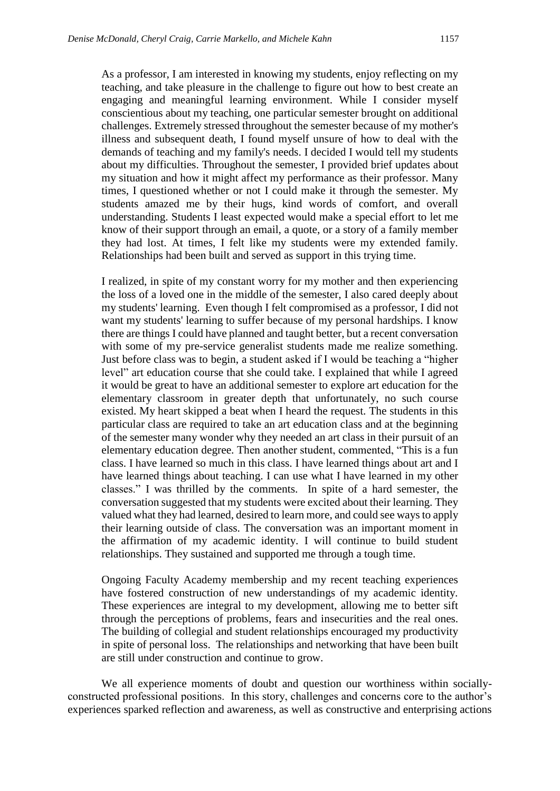As a professor, I am interested in knowing my students, enjoy reflecting on my teaching, and take pleasure in the challenge to figure out how to best create an engaging and meaningful learning environment. While I consider myself conscientious about my teaching, one particular semester brought on additional challenges. Extremely stressed throughout the semester because of my mother's illness and subsequent death, I found myself unsure of how to deal with the demands of teaching and my family's needs. I decided I would tell my students about my difficulties. Throughout the semester, I provided brief updates about my situation and how it might affect my performance as their professor. Many times, I questioned whether or not I could make it through the semester. My students amazed me by their hugs, kind words of comfort, and overall understanding. Students I least expected would make a special effort to let me know of their support through an email, a quote, or a story of a family member they had lost. At times, I felt like my students were my extended family. Relationships had been built and served as support in this trying time.

I realized, in spite of my constant worry for my mother and then experiencing the loss of a loved one in the middle of the semester, I also cared deeply about my students' learning. Even though I felt compromised as a professor, I did not want my students' learning to suffer because of my personal hardships. I know there are things I could have planned and taught better, but a recent conversation with some of my pre-service generalist students made me realize something. Just before class was to begin, a student asked if I would be teaching a "higher level" art education course that she could take. I explained that while I agreed it would be great to have an additional semester to explore art education for the elementary classroom in greater depth that unfortunately, no such course existed. My heart skipped a beat when I heard the request. The students in this particular class are required to take an art education class and at the beginning of the semester many wonder why they needed an art class in their pursuit of an elementary education degree. Then another student, commented, "This is a fun class. I have learned so much in this class. I have learned things about art and I have learned things about teaching. I can use what I have learned in my other classes." I was thrilled by the comments. In spite of a hard semester, the conversation suggested that my students were excited about their learning. They valued what they had learned, desired to learn more, and could see ways to apply their learning outside of class. The conversation was an important moment in the affirmation of my academic identity. I will continue to build student relationships. They sustained and supported me through a tough time.

Ongoing Faculty Academy membership and my recent teaching experiences have fostered construction of new understandings of my academic identity. These experiences are integral to my development, allowing me to better sift through the perceptions of problems, fears and insecurities and the real ones. The building of collegial and student relationships encouraged my productivity in spite of personal loss. The relationships and networking that have been built are still under construction and continue to grow.

We all experience moments of doubt and question our worthiness within sociallyconstructed professional positions. In this story, challenges and concerns core to the author's experiences sparked reflection and awareness, as well as constructive and enterprising actions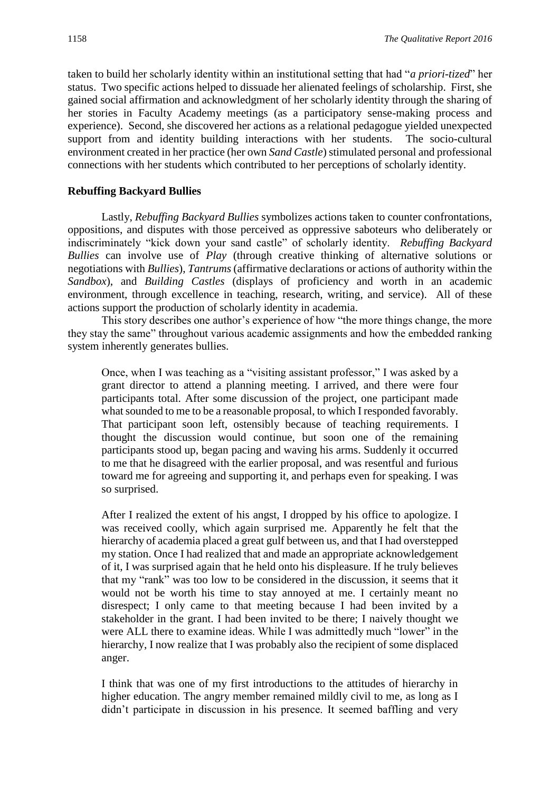taken to build her scholarly identity within an institutional setting that had "*a priori-tized*" her status. Two specific actions helped to dissuade her alienated feelings of scholarship. First, she gained social affirmation and acknowledgment of her scholarly identity through the sharing of her stories in Faculty Academy meetings (as a participatory sense-making process and experience). Second, she discovered her actions as a relational pedagogue yielded unexpected support from and identity building interactions with her students. The socio-cultural environment created in her practice (her own *Sand Castle*) stimulated personal and professional connections with her students which contributed to her perceptions of scholarly identity.

#### **Rebuffing Backyard Bullies**

Lastly, *Rebuffing Backyard Bullies* symbolizes actions taken to counter confrontations, oppositions, and disputes with those perceived as oppressive saboteurs who deliberately or indiscriminately "kick down your sand castle" of scholarly identity. *Rebuffing Backyard Bullies* can involve use of *Play* (through creative thinking of alternative solutions or negotiations with *Bullies*), *Tantrums* (affirmative declarations or actions of authority within the *Sandbox*), and *Building Castles* (displays of proficiency and worth in an academic environment, through excellence in teaching, research, writing, and service). All of these actions support the production of scholarly identity in academia.

This story describes one author's experience of how "the more things change, the more they stay the same" throughout various academic assignments and how the embedded ranking system inherently generates bullies.

Once, when I was teaching as a "visiting assistant professor," I was asked by a grant director to attend a planning meeting. I arrived, and there were four participants total. After some discussion of the project, one participant made what sounded to me to be a reasonable proposal, to which I responded favorably. That participant soon left, ostensibly because of teaching requirements. I thought the discussion would continue, but soon one of the remaining participants stood up, began pacing and waving his arms. Suddenly it occurred to me that he disagreed with the earlier proposal, and was resentful and furious toward me for agreeing and supporting it, and perhaps even for speaking. I was so surprised.

After I realized the extent of his angst, I dropped by his office to apologize. I was received coolly, which again surprised me. Apparently he felt that the hierarchy of academia placed a great gulf between us, and that I had overstepped my station. Once I had realized that and made an appropriate acknowledgement of it, I was surprised again that he held onto his displeasure. If he truly believes that my "rank" was too low to be considered in the discussion, it seems that it would not be worth his time to stay annoyed at me. I certainly meant no disrespect; I only came to that meeting because I had been invited by a stakeholder in the grant. I had been invited to be there; I naively thought we were ALL there to examine ideas. While I was admittedly much "lower" in the hierarchy, I now realize that I was probably also the recipient of some displaced anger.

I think that was one of my first introductions to the attitudes of hierarchy in higher education. The angry member remained mildly civil to me, as long as I didn't participate in discussion in his presence. It seemed baffling and very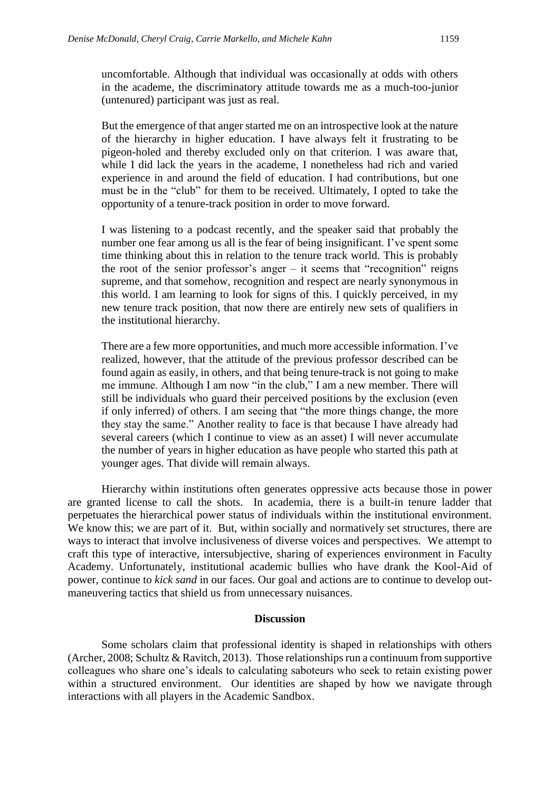uncomfortable. Although that individual was occasionally at odds with others in the academe, the discriminatory attitude towards me as a much-too-junior (untenured) participant was just as real.

But the emergence of that anger started me on an introspective look at the nature of the hierarchy in higher education. I have always felt it frustrating to be pigeon-holed and thereby excluded only on that criterion. I was aware that, while I did lack the years in the academe, I nonetheless had rich and varied experience in and around the field of education. I had contributions, but one must be in the "club" for them to be received. Ultimately, I opted to take the opportunity of a tenure-track position in order to move forward.

I was listening to a podcast recently, and the speaker said that probably the number one fear among us all is the fear of being insignificant. I've spent some time thinking about this in relation to the tenure track world. This is probably the root of the senior professor's anger – it seems that "recognition" reigns supreme, and that somehow, recognition and respect are nearly synonymous in this world. I am learning to look for signs of this. I quickly perceived, in my new tenure track position, that now there are entirely new sets of qualifiers in the institutional hierarchy.

There are a few more opportunities, and much more accessible information. I've realized, however, that the attitude of the previous professor described can be found again as easily, in others, and that being tenure-track is not going to make me immune. Although I am now "in the club," I am a new member. There will still be individuals who guard their perceived positions by the exclusion (even if only inferred) of others. I am seeing that "the more things change, the more they stay the same." Another reality to face is that because I have already had several careers (which I continue to view as an asset) I will never accumulate the number of years in higher education as have people who started this path at younger ages. That divide will remain always.

Hierarchy within institutions often generates oppressive acts because those in power are granted license to call the shots. In academia, there is a built-in tenure ladder that perpetuates the hierarchical power status of individuals within the institutional environment. We know this; we are part of it. But, within socially and normatively set structures, there are ways to interact that involve inclusiveness of diverse voices and perspectives. We attempt to craft this type of interactive, intersubjective, sharing of experiences environment in Faculty Academy. Unfortunately, institutional academic bullies who have drank the Kool-Aid of power, continue to *kick sand* in our faces. Our goal and actions are to continue to develop outmaneuvering tactics that shield us from unnecessary nuisances.

#### **Discussion**

Some scholars claim that professional identity is shaped in relationships with others (Archer, 2008; Schultz & Ravitch, 2013). Those relationships run a continuum from supportive colleagues who share one's ideals to calculating saboteurs who seek to retain existing power within a structured environment. Our identities are shaped by how we navigate through interactions with all players in the Academic Sandbox.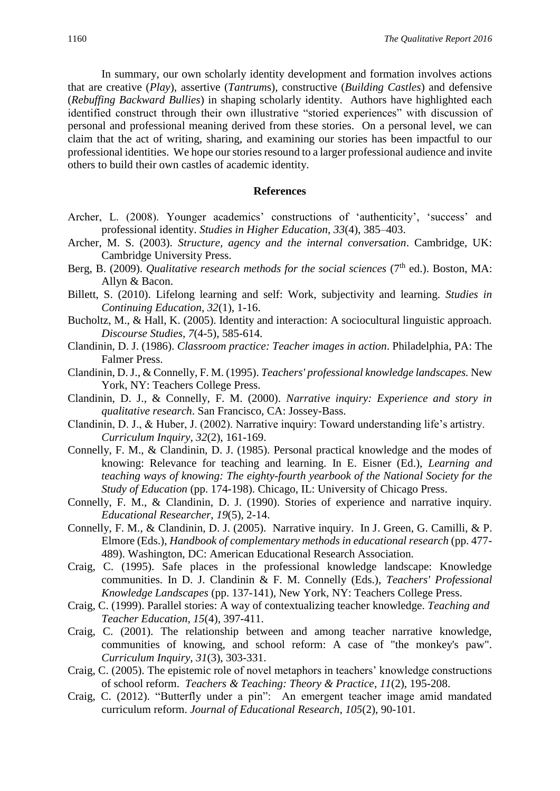In summary, our own scholarly identity development and formation involves actions that are creative (*Play*), assertive (*Tantrum*s), constructive (*Building Castles*) and defensive (*Rebuffing Backward Bullies*) in shaping scholarly identity. Authors have highlighted each identified construct through their own illustrative "storied experiences" with discussion of personal and professional meaning derived from these stories. On a personal level, we can claim that the act of writing, sharing, and examining our stories has been impactful to our professional identities. We hope our stories resound to a larger professional audience and invite others to build their own castles of academic identity.

#### **References**

- Archer, L. (2008). Younger academics' constructions of 'authenticity', 'success' and professional identity. *Studies in Higher Education*, *33*(4), 385–403.
- Archer, M. S. (2003). *Structure, agency and the internal conversation*. Cambridge, UK: Cambridge University Press.
- Berg, B. (2009). *Qualitative research methods for the social sciences* (7<sup>th</sup> ed.). Boston, MA: Allyn & Bacon.
- Billett, S. (2010). Lifelong learning and self: Work, subjectivity and learning. *Studies in Continuing Education, 32*(1), 1-16.
- Bucholtz, M., & Hall, K. (2005). Identity and interaction: A sociocultural linguistic approach. *Discourse Studies, 7*(4-5), 585-614.
- Clandinin, D. J. (1986). *Classroom practice: Teacher images in action*. Philadelphia, PA: The Falmer Press.
- Clandinin, D. J., & Connelly, F. M. (1995). *Teachers' professional knowledge landscapes.* New York, NY: Teachers College Press.
- Clandinin, D. J., & Connelly, F. M. (2000). *Narrative inquiry: Experience and story in qualitative research*. San Francisco, CA: Jossey-Bass.
- Clandinin, D. J., & Huber, J. (2002). Narrative inquiry: Toward understanding life's artistry. *Curriculum Inquiry*, *32*(2), 161-169.
- Connelly, F. M., & Clandinin, D. J. (1985). Personal practical knowledge and the modes of knowing: Relevance for teaching and learning. In E. Eisner (Ed.), *Learning and teaching ways of knowing: The eighty-fourth yearbook of the National Society for the Study of Education* (pp. 174-198). Chicago, IL: University of Chicago Press.
- Connelly, F. M., & Clandinin, D. J. (1990). Stories of experience and narrative inquiry. *Educational Researcher*, *19*(5), 2-14.
- Connelly, F. M., & Clandinin, D. J. (2005). Narrative inquiry. In J. Green, G. Camilli, & P. Elmore (Eds.), *Handbook of complementary methods in educational research* (pp. 477- 489). Washington, DC: American Educational Research Association.
- Craig, C. (1995). Safe places in the professional knowledge landscape: Knowledge communities. In D. J. Clandinin & F. M. Connelly (Eds.), *Teachers' Professional Knowledge Landscapes* (pp. 137-141), New York, NY: Teachers College Press.
- Craig, C. (1999). Parallel stories: A way of contextualizing teacher knowledge. *Teaching and Teacher Education, 15*(4), 397-411.
- Craig, C. (2001). The relationship between and among teacher narrative knowledge, communities of knowing, and school reform: A case of "the monkey's paw". *Curriculum Inquiry, 31*(3), 303-331.
- Craig, C. (2005). The epistemic role of novel metaphors in teachers' knowledge constructions of school reform. *Teachers & Teaching: Theory & Practice*, *11*(2), 195-208.
- Craig, C. (2012). "Butterfly under a pin": An emergent teacher image amid mandated curriculum reform. *Journal of Educational Research, 105*(2), 90-101*.*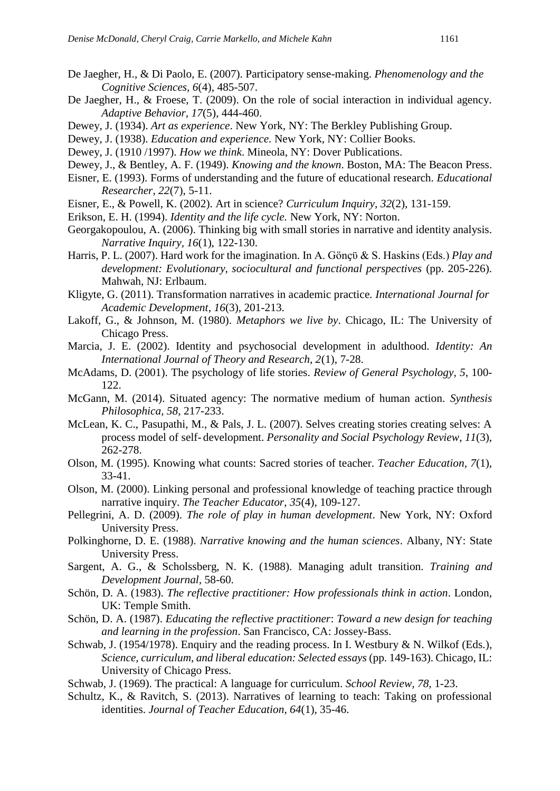- De Jaegher, H., & Di Paolo, E. (2007). Participatory sense-making. *Phenomenology and the Cognitive Sciences, 6*(4), 485-507.
- De Jaegher, H., & Froese, T. (2009). On the role of social interaction in individual agency. *Adaptive Behavior, 17*(5), 444-460.
- Dewey, J. (1934). *Art as experience*. New York, NY: The Berkley Publishing Group.
- Dewey, J. (1938). *Education and experience.* New York, NY: Collier Books.
- Dewey, J. (1910 /1997). *How we think*. Mineola, NY: Dover Publications.
- Dewey, J., & Bentley, A. F. (1949). *Knowing and the known*. Boston, MA: The Beacon Press.
- Eisner, E. (1993). Forms of understanding and the future of educational research. *Educational Researcher*, *22*(7), 5-11.
- Eisner, E., & Powell, K. (2002). Art in science? *Curriculum Inquiry*, *32*(2), 131-159.
- Erikson, E. H. (1994). *Identity and the life cycle.* New York, NY: Norton.
- Georgakopoulou, A. (2006). Thinking big with small stories in narrative and identity analysis. *Narrative Inquiry, 16*(1), 122-130.
- Harris, P. L. (2007). Hard work for the imagination. In A. Gönçü & S. Haskins (Eds.) *Play and development: Evolutionary, sociocultural and functional perspectives* (pp. 205-226). Mahwah, NJ: Erlbaum.
- Kligyte, G. (2011). Transformation narratives in academic practice*. International Journal for Academic Development*, *16*(3), 201-213.
- Lakoff, G., & Johnson, M. (1980). *Metaphors we live by*. Chicago, IL: The University of Chicago Press.
- Marcia, J. E. (2002). Identity and psychosocial development in adulthood. *Identity: An International Journal of Theory and Research, 2*(1), 7-28.
- McAdams, D. (2001). The psychology of life stories. *Review of General Psychology, 5*, 100- 122.
- McGann, M. (2014). Situated agency: The normative medium of human action. *Synthesis Philosophica, 58*, 217-233.
- McLean, K. C., Pasupathi, M., & Pals, J. L. (2007). Selves creating stories creating selves: A process model of self- development. *Personality and Social Psychology Review*, *11*(3), 262-278.
- Olson, M. (1995). Knowing what counts: Sacred stories of teacher. *Teacher Education, 7*(1), 33-41.
- Olson, M. (2000). Linking personal and professional knowledge of teaching practice through narrative inquiry. *The Teacher Educator*, *35*(4), 109-127.
- Pellegrini, A. D. (2009). *The role of play in human development*. New York, NY: Oxford University Press.
- Polkinghorne, D. E. (1988). *Narrative knowing and the human sciences*. Albany, NY: State University Press.
- Sargent, A. G., & Scholssberg, N. K. (1988). Managing adult transition. *Training and Development Journal,* 58-60.
- Schön, D. A. (1983). *The reflective practitioner: How professionals think in action*. London, UK: Temple Smith.
- Schön, D. A. (1987). *Educating the reflective practitioner*: *Toward a new design for teaching and learning in the profession*. San Francisco, CA: Jossey-Bass.
- Schwab, J. (1954/1978). Enquiry and the reading process. In I. Westbury & N. Wilkof (Eds.), *Science, curriculum, and liberal education: Selected essays* (pp. 149-163). Chicago, IL: University of Chicago Press.
- Schwab, J. (1969). The practical: A language for curriculum. *School Review, 78,* 1-23.
- Schultz, K., & Ravitch, S. (2013). Narratives of learning to teach: Taking on professional identities. *Journal of Teacher Education, 64*(1), 35-46.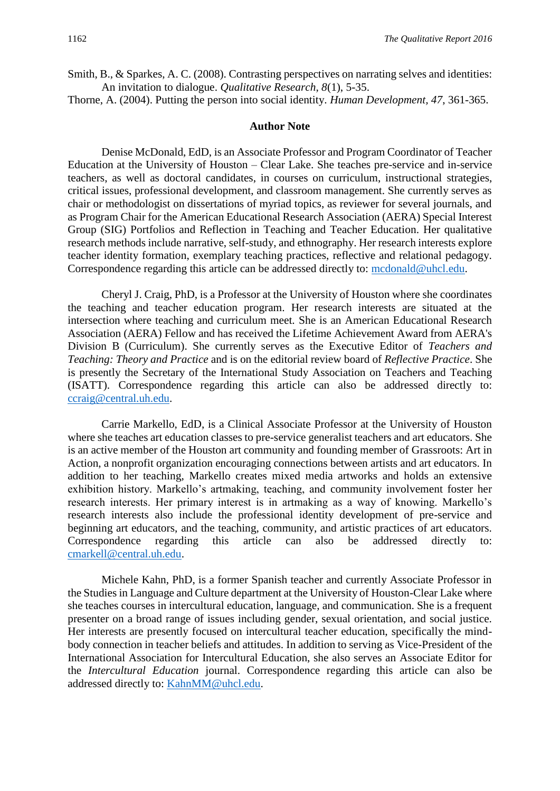Smith, B., & Sparkes, A. C. (2008). Contrasting perspectives on narrating selves and identities: An invitation to dialogue. *Qualitative Research*, *8*(1), 5-35.

Thorne, A. (2004). Putting the person into social identity. *Human Development, 47*, 361-365.

#### **Author Note**

Denise McDonald, EdD, is an Associate Professor and Program Coordinator of Teacher Education at the University of Houston – Clear Lake. She teaches pre-service and in-service teachers, as well as doctoral candidates, in courses on curriculum, instructional strategies, critical issues, professional development, and classroom management. She currently serves as chair or methodologist on dissertations of myriad topics, as reviewer for several journals, and as Program Chair for the American Educational Research Association (AERA) Special Interest Group (SIG) Portfolios and Reflection in Teaching and Teacher Education. Her qualitative research methods include narrative, self-study, and ethnography. Her research interests explore teacher identity formation, exemplary teaching practices, reflective and relational pedagogy. Correspondence regarding this article can be addressed directly to: [mcdonald@uhcl.edu.](mailto:mcdonald@uhcl.edu)

Cheryl J. Craig, PhD, is a Professor at the University of Houston where she coordinates the teaching and teacher education program. Her research interests are situated at the intersection where teaching and curriculum meet. She is an American Educational Research Association (AERA) Fellow and has received the Lifetime Achievement Award from AERA's Division B (Curriculum). She currently serves as the Executive Editor of *Teachers and Teaching: Theory and Practice* and is on the editorial review board of *Reflective Practice*. She is presently the Secretary of the International Study Association on Teachers and Teaching (ISATT). Correspondence regarding this article can also be addressed directly to: [ccraig@central.uh.edu.](mailto:ccraig@central.uh.edu)

Carrie Markello, EdD, is a Clinical Associate Professor at the University of Houston where she teaches art education classes to pre-service generalist teachers and art educators. She is an active member of the Houston art community and founding member of Grassroots: Art in Action, a nonprofit organization encouraging connections between artists and art educators. In addition to her teaching, Markello creates mixed media artworks and holds an extensive exhibition history. Markello's artmaking, teaching, and community involvement foster her research interests. Her primary interest is in artmaking as a way of knowing. Markello's research interests also include the professional identity development of pre-service and beginning art educators, and the teaching, community, and artistic practices of art educators. Correspondence regarding this article can also be addressed directly to: [cmarkell@central.uh.edu.](mailto:cmarkell@central.uh.edu)

Michele Kahn, PhD, is a former Spanish teacher and currently Associate Professor in the Studies in Language and Culture department at the University of Houston-Clear Lake where she teaches courses in intercultural education, language, and communication. She is a frequent presenter on a broad range of issues including gender, sexual orientation, and social justice. Her interests are presently focused on intercultural teacher education, specifically the mindbody connection in teacher beliefs and attitudes. In addition to serving as Vice-President of the International Association for Intercultural Education, she also serves an Associate Editor for the *Intercultural Education* journal. Correspondence regarding this article can also be addressed directly to: [KahnMM@uhcl.edu.](mailto:KahnMM@uhcl.edu)